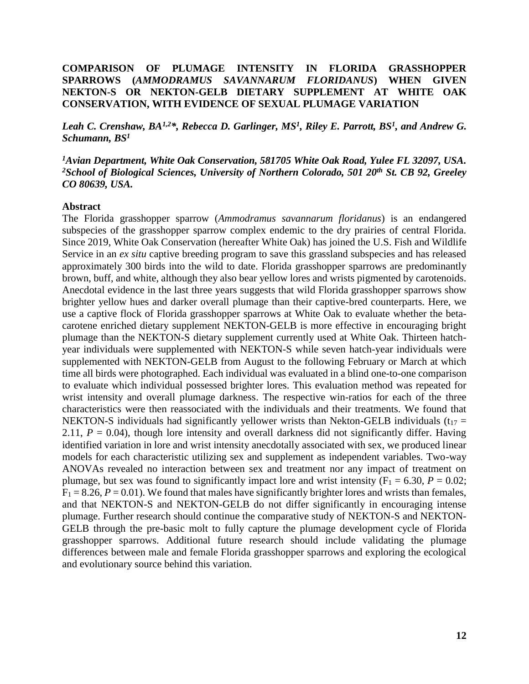## **COMPARISON OF PLUMAGE INTENSITY IN FLORIDA GRASSHOPPER SPARROWS (***AMMODRAMUS SAVANNARUM FLORIDANUS***) WHEN GIVEN NEKTON-S OR NEKTON-GELB DIETARY SUPPLEMENT AT WHITE OAK CONSERVATION, WITH EVIDENCE OF SEXUAL PLUMAGE VARIATION**

Leah C. Crenshaw, BA<sup>1,2\*</sup>, Rebecca D. Garlinger, MS<sup>1</sup>, Riley E. Parrott, BS<sup>1</sup>, and Andrew G. *Schumann, BS<sup>1</sup>*

*<sup>1</sup>Avian Department, White Oak Conservation, 581705 White Oak Road, Yulee FL 32097, USA. <sup>2</sup>School of Biological Sciences, University of Northern Colorado, 501 20th St. CB 92, Greeley CO 80639, USA.*

#### **Abstract**

The Florida grasshopper sparrow (*Ammodramus savannarum floridanus*) is an endangered subspecies of the grasshopper sparrow complex endemic to the dry prairies of central Florida. Since 2019, White Oak Conservation (hereafter White Oak) has joined the U.S. Fish and Wildlife Service in an *ex situ* captive breeding program to save this grassland subspecies and has released approximately 300 birds into the wild to date. Florida grasshopper sparrows are predominantly brown, buff, and white, although they also bear yellow lores and wrists pigmented by carotenoids. Anecdotal evidence in the last three years suggests that wild Florida grasshopper sparrows show brighter yellow hues and darker overall plumage than their captive-bred counterparts. Here, we use a captive flock of Florida grasshopper sparrows at White Oak to evaluate whether the betacarotene enriched dietary supplement NEKTON-GELB is more effective in encouraging bright plumage than the NEKTON-S dietary supplement currently used at White Oak. Thirteen hatchyear individuals were supplemented with NEKTON-S while seven hatch-year individuals were supplemented with NEKTON-GELB from August to the following February or March at which time all birds were photographed. Each individual was evaluated in a blind one-to-one comparison to evaluate which individual possessed brighter lores. This evaluation method was repeated for wrist intensity and overall plumage darkness. The respective win-ratios for each of the three characteristics were then reassociated with the individuals and their treatments. We found that NEKTON-S individuals had significantly yellower wrists than Nekton-GELB individuals ( $t_{17}$  = 2.11,  $P = 0.04$ ), though lore intensity and overall darkness did not significantly differ. Having identified variation in lore and wrist intensity anecdotally associated with sex, we produced linear models for each characteristic utilizing sex and supplement as independent variables. Two-way ANOVAs revealed no interaction between sex and treatment nor any impact of treatment on plumage, but sex was found to significantly impact lore and wrist intensity  $(F_1 = 6.30, P = 0.02;$  $F_1 = 8.26$ ,  $P = 0.01$ ). We found that males have significantly brighter lores and wrists than females, and that NEKTON-S and NEKTON-GELB do not differ significantly in encouraging intense plumage. Further research should continue the comparative study of NEKTON-S and NEKTON-GELB through the pre-basic molt to fully capture the plumage development cycle of Florida grasshopper sparrows. Additional future research should include validating the plumage differences between male and female Florida grasshopper sparrows and exploring the ecological and evolutionary source behind this variation.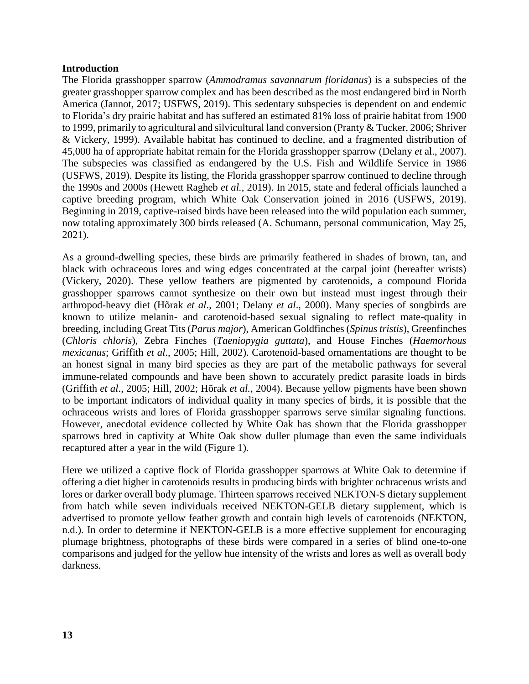### **Introduction**

The Florida grasshopper sparrow (*Ammodramus savannarum floridanus*) is a subspecies of the greater grasshopper sparrow complex and has been described as the most endangered bird in North America (Jannot, 2017; USFWS, 2019). This sedentary subspecies is dependent on and endemic to Florida's dry prairie habitat and has suffered an estimated 81% loss of prairie habitat from 1900 to 1999, primarily to agricultural and silvicultural land conversion (Pranty & Tucker, 2006; Shriver & Vickery, 1999). Available habitat has continued to decline, and a fragmented distribution of 45,000 ha of appropriate habitat remain for the Florida grasshopper sparrow (Delany *et* al., 2007). The subspecies was classified as endangered by the U.S. Fish and Wildlife Service in 1986 (USFWS, 2019). Despite its listing, the Florida grasshopper sparrow continued to decline through the 1990s and 2000s (Hewett Ragheb *et al.*, 2019). In 2015, state and federal officials launched a captive breeding program, which White Oak Conservation joined in 2016 (USFWS, 2019). Beginning in 2019, captive-raised birds have been released into the wild population each summer, now totaling approximately 300 birds released (A. Schumann, personal communication, May 25, 2021).

As a ground-dwelling species, these birds are primarily feathered in shades of brown, tan, and black with ochraceous lores and wing edges concentrated at the carpal joint (hereafter wrists) (Vickery, 2020). These yellow feathers are pigmented by carotenoids, a compound Florida grasshopper sparrows cannot synthesize on their own but instead must ingest through their arthropod-heavy diet (Hõrak *et al*., 2001; Delany *et al*., 2000). Many species of songbirds are known to utilize melanin- and carotenoid-based sexual signaling to reflect mate-quality in breeding, including Great Tits (*Parus major*), American Goldfinches (*Spinus tristis*), Greenfinches (*Chloris chloris*), Zebra Finches (*Taeniopygia guttata*), and House Finches (*Haemorhous mexicanus*; Griffith *et al*., 2005; Hill, 2002). Carotenoid-based ornamentations are thought to be an honest signal in many bird species as they are part of the metabolic pathways for several immune-related compounds and have been shown to accurately predict parasite loads in birds (Griffith *et al*., 2005; Hill, 2002; Hõrak *et al.*, 2004). Because yellow pigments have been shown to be important indicators of individual quality in many species of birds, it is possible that the ochraceous wrists and lores of Florida grasshopper sparrows serve similar signaling functions. However, anecdotal evidence collected by White Oak has shown that the Florida grasshopper sparrows bred in captivity at White Oak show duller plumage than even the same individuals recaptured after a year in the wild (Figure 1).

Here we utilized a captive flock of Florida grasshopper sparrows at White Oak to determine if offering a diet higher in carotenoids results in producing birds with brighter ochraceous wrists and lores or darker overall body plumage. Thirteen sparrows received NEKTON-S dietary supplement from hatch while seven individuals received NEKTON-GELB dietary supplement, which is advertised to promote yellow feather growth and contain high levels of carotenoids (NEKTON, n.d.). In order to determine if NEKTON-GELB is a more effective supplement for encouraging plumage brightness, photographs of these birds were compared in a series of blind one-to-one comparisons and judged for the yellow hue intensity of the wrists and lores as well as overall body darkness.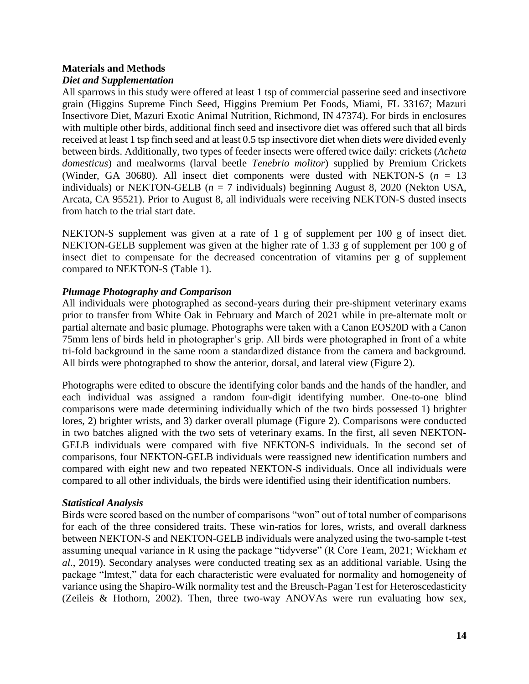### **Materials and Methods**

# *Diet and Supplementation*

All sparrows in this study were offered at least 1 tsp of commercial passerine seed and insectivore grain (Higgins Supreme Finch Seed, Higgins Premium Pet Foods, Miami, FL 33167; Mazuri Insectivore Diet, Mazuri Exotic Animal Nutrition, Richmond, IN 47374). For birds in enclosures with multiple other birds, additional finch seed and insectivore diet was offered such that all birds received at least 1 tsp finch seed and at least 0.5 tsp insectivore diet when diets were divided evenly between birds. Additionally, two types of feeder insects were offered twice daily: crickets (*Acheta domesticus*) and mealworms (larval beetle *Tenebrio molitor*) supplied by Premium Crickets (Winder, GA 30680). All insect diet components were dusted with NEKTON-S  $(n = 13$ individuals) or NEKTON-GELB ( $n = 7$  individuals) beginning August 8, 2020 (Nekton USA, Arcata, CA 95521). Prior to August 8, all individuals were receiving NEKTON-S dusted insects from hatch to the trial start date.

NEKTON-S supplement was given at a rate of 1 g of supplement per 100 g of insect diet. NEKTON-GELB supplement was given at the higher rate of 1.33 g of supplement per 100 g of insect diet to compensate for the decreased concentration of vitamins per g of supplement compared to NEKTON-S (Table 1).

# *Plumage Photography and Comparison*

All individuals were photographed as second-years during their pre-shipment veterinary exams prior to transfer from White Oak in February and March of 2021 while in pre-alternate molt or partial alternate and basic plumage. Photographs were taken with a Canon EOS20D with a Canon 75mm lens of birds held in photographer's grip. All birds were photographed in front of a white tri-fold background in the same room a standardized distance from the camera and background. All birds were photographed to show the anterior, dorsal, and lateral view (Figure 2).

Photographs were edited to obscure the identifying color bands and the hands of the handler, and each individual was assigned a random four-digit identifying number. One-to-one blind comparisons were made determining individually which of the two birds possessed 1) brighter lores, 2) brighter wrists, and 3) darker overall plumage (Figure 2). Comparisons were conducted in two batches aligned with the two sets of veterinary exams. In the first, all seven NEKTON-GELB individuals were compared with five NEKTON-S individuals. In the second set of comparisons, four NEKTON-GELB individuals were reassigned new identification numbers and compared with eight new and two repeated NEKTON-S individuals. Once all individuals were compared to all other individuals, the birds were identified using their identification numbers.

### *Statistical Analysis*

Birds were scored based on the number of comparisons "won" out of total number of comparisons for each of the three considered traits. These win-ratios for lores, wrists, and overall darkness between NEKTON-S and NEKTON-GELB individuals were analyzed using the two-sample t-test assuming unequal variance in R using the package "tidyverse" (R Core Team, 2021; Wickham *et al*., 2019). Secondary analyses were conducted treating sex as an additional variable. Using the package "lmtest," data for each characteristic were evaluated for normality and homogeneity of variance using the Shapiro-Wilk normality test and the Breusch-Pagan Test for Heteroscedasticity (Zeileis & Hothorn, 2002). Then, three two-way ANOVAs were run evaluating how sex,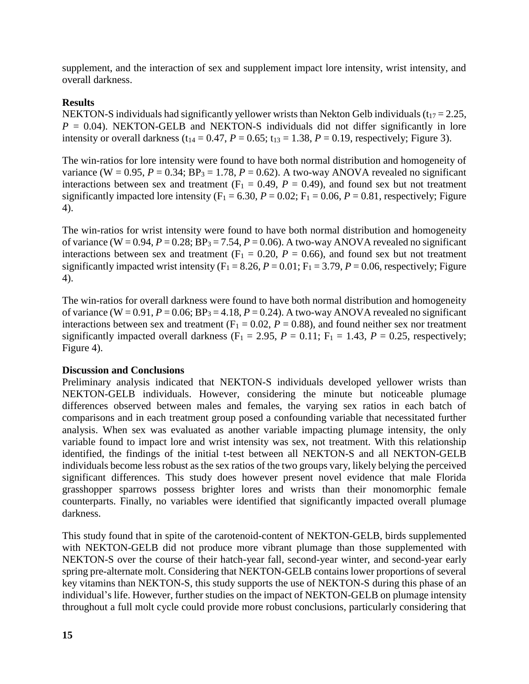supplement, and the interaction of sex and supplement impact lore intensity, wrist intensity, and overall darkness.

# **Results**

NEKTON-S individuals had significantly yellower wrists than Nekton Gelb individuals ( $t_{17} = 2.25$ ,  $P = 0.04$ ). NEKTON-GELB and NEKTON-S individuals did not differ significantly in lore intensity or overall darkness (t<sub>14</sub> = 0.47,  $P = 0.65$ ; t<sub>13</sub> = 1.38,  $P = 0.19$ , respectively; Figure 3).

The win-ratios for lore intensity were found to have both normal distribution and homogeneity of variance (W = 0.95,  $P = 0.34$ ;  $BP_3 = 1.78$ ,  $P = 0.62$ ). A two-way ANOVA revealed no significant interactions between sex and treatment  $(F_1 = 0.49, P = 0.49)$ , and found sex but not treatment significantly impacted lore intensity ( $F_1 = 6.30$ ,  $P = 0.02$ ;  $F_1 = 0.06$ ,  $P = 0.81$ , respectively; Figure 4).

The win-ratios for wrist intensity were found to have both normal distribution and homogeneity of variance (W = 0.94,  $P = 0.28$ ;  $BP_3 = 7.54$ ,  $P = 0.06$ ). A two-way ANOVA revealed no significant interactions between sex and treatment  $(F_1 = 0.20, P = 0.66)$ , and found sex but not treatment significantly impacted wrist intensity  $(F_1 = 8.26, P = 0.01; F_1 = 3.79, P = 0.06$ , respectively; Figure 4).

The win-ratios for overall darkness were found to have both normal distribution and homogeneity of variance (W = 0.91,  $P = 0.06$ ;  $BP_3 = 4.18$ ,  $P = 0.24$ ). A two-way ANOVA revealed no significant interactions between sex and treatment ( $F_1 = 0.02$ ,  $P = 0.88$ ), and found neither sex nor treatment significantly impacted overall darkness ( $F_1 = 2.95$ ,  $P = 0.11$ ;  $F_1 = 1.43$ ,  $P = 0.25$ , respectively; Figure 4).

### **Discussion and Conclusions**

Preliminary analysis indicated that NEKTON-S individuals developed yellower wrists than NEKTON-GELB individuals. However, considering the minute but noticeable plumage differences observed between males and females, the varying sex ratios in each batch of comparisons and in each treatment group posed a confounding variable that necessitated further analysis. When sex was evaluated as another variable impacting plumage intensity, the only variable found to impact lore and wrist intensity was sex, not treatment. With this relationship identified, the findings of the initial t-test between all NEKTON-S and all NEKTON-GELB individuals become less robust as the sex ratios of the two groups vary, likely belying the perceived significant differences. This study does however present novel evidence that male Florida grasshopper sparrows possess brighter lores and wrists than their monomorphic female counterparts. Finally, no variables were identified that significantly impacted overall plumage darkness.

This study found that in spite of the carotenoid-content of NEKTON-GELB, birds supplemented with NEKTON-GELB did not produce more vibrant plumage than those supplemented with NEKTON-S over the course of their hatch-year fall, second-year winter, and second-year early spring pre-alternate molt. Considering that NEKTON-GELB contains lower proportions of several key vitamins than NEKTON-S, this study supports the use of NEKTON-S during this phase of an individual's life. However, further studies on the impact of NEKTON-GELB on plumage intensity throughout a full molt cycle could provide more robust conclusions, particularly considering that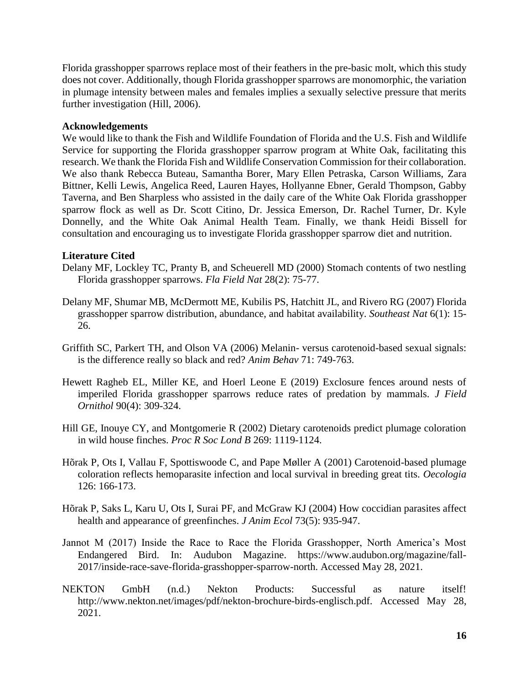Florida grasshopper sparrows replace most of their feathers in the pre-basic molt, which this study does not cover. Additionally, though Florida grasshopper sparrows are monomorphic, the variation in plumage intensity between males and females implies a sexually selective pressure that merits further investigation (Hill, 2006).

## **Acknowledgements**

We would like to thank the Fish and Wildlife Foundation of Florida and the U.S. Fish and Wildlife Service for supporting the Florida grasshopper sparrow program at White Oak, facilitating this research. We thank the Florida Fish and Wildlife Conservation Commission for their collaboration. We also thank Rebecca Buteau, Samantha Borer, Mary Ellen Petraska, Carson Williams, Zara Bittner, Kelli Lewis, Angelica Reed, Lauren Hayes, Hollyanne Ebner, Gerald Thompson, Gabby Taverna, and Ben Sharpless who assisted in the daily care of the White Oak Florida grasshopper sparrow flock as well as Dr. Scott Citino, Dr. Jessica Emerson, Dr. Rachel Turner, Dr. Kyle Donnelly, and the White Oak Animal Health Team. Finally, we thank Heidi Bissell for consultation and encouraging us to investigate Florida grasshopper sparrow diet and nutrition.

# **Literature Cited**

- Delany MF, Lockley TC, Pranty B, and Scheuerell MD (2000) Stomach contents of two nestling Florida grasshopper sparrows. *Fla Field Nat* 28(2): 75-77.
- Delany MF, Shumar MB, McDermott ME, Kubilis PS, Hatchitt JL, and Rivero RG (2007) Florida grasshopper sparrow distribution, abundance, and habitat availability. *Southeast Nat* 6(1): 15- 26.
- Griffith SC, Parkert TH, and Olson VA (2006) Melanin- versus carotenoid-based sexual signals: is the difference really so black and red? *Anim Behav* 71: 749-763.
- Hewett Ragheb EL, Miller KE, and Hoerl Leone E (2019) Exclosure fences around nests of imperiled Florida grasshopper sparrows reduce rates of predation by mammals. *J Field Ornithol* 90(4): 309-324.
- Hill GE, Inouye CY, and Montgomerie R (2002) Dietary carotenoids predict plumage coloration in wild house finches. *Proc R Soc Lond B* 269: 1119-1124.
- Hõrak P, Ots I, Vallau F, Spottiswoode C, and Pape Møller A (2001) Carotenoid-based plumage coloration reflects hemoparasite infection and local survival in breeding great tits. *Oecologia* 126: 166-173.
- Hõrak P, Saks L, Karu U, Ots I, Surai PF, and McGraw KJ (2004) How coccidian parasites affect health and appearance of greenfinches. *J Anim Ecol* 73(5): 935-947.
- Jannot M (2017) Inside the Race to Race the Florida Grasshopper, North America's Most Endangered Bird. In: Audubon Magazine. https://www.audubon.org/magazine/fall-2017/inside-race-save-florida-grasshopper-sparrow-north. Accessed May 28, 2021.
- NEKTON GmbH (n.d.) Nekton Products: Successful as nature itself! http://www.nekton.net/images/pdf/nekton-brochure-birds-englisch.pdf. Accessed May 28, 2021.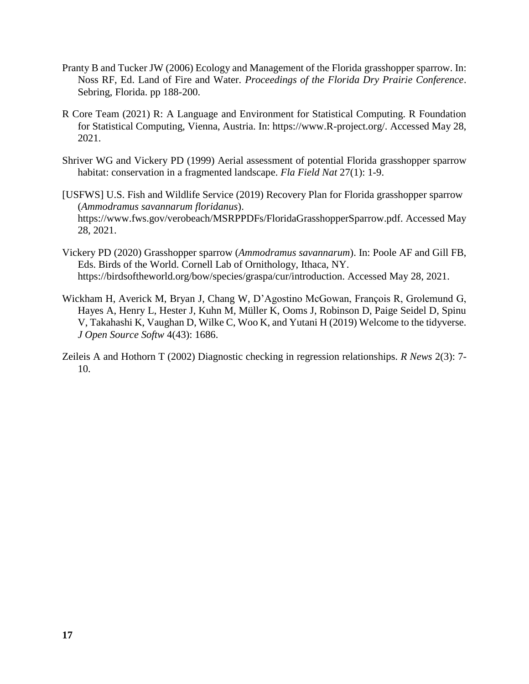- Pranty B and Tucker JW (2006) Ecology and Management of the Florida grasshopper sparrow. In: Noss RF, Ed. Land of Fire and Water. *Proceedings of the Florida Dry Prairie Conference*. Sebring, Florida. pp 188-200.
- R Core Team (2021) R: A Language and Environment for Statistical Computing. R Foundation for Statistical Computing, Vienna, Austria. In: https://www.R-project.org/. Accessed May 28, 2021.
- Shriver WG and Vickery PD (1999) Aerial assessment of potential Florida grasshopper sparrow habitat: conservation in a fragmented landscape. *Fla Field Nat* 27(1): 1-9.
- [USFWS] U.S. Fish and Wildlife Service (2019) Recovery Plan for Florida grasshopper sparrow (*Ammodramus savannarum floridanus*). https://www.fws.gov/verobeach/MSRPPDFs/FloridaGrasshopperSparrow.pdf. Accessed May 28, 2021.
- Vickery PD (2020) Grasshopper sparrow (*Ammodramus savannarum*). In: Poole AF and Gill FB, Eds. Birds of the World. Cornell Lab of Ornithology, Ithaca, NY. https://birdsoftheworld.org/bow/species/graspa/cur/introduction. Accessed May 28, 2021.
- Wickham H, Averick M, Bryan J, Chang W, D'Agostino McGowan, François R, Grolemund G, Hayes A, Henry L, Hester J, Kuhn M, Müller K, Ooms J, Robinson D, Paige Seidel D, Spinu V, Takahashi K, Vaughan D, Wilke C, Woo K, and Yutani H (2019) Welcome to the tidyverse. *J Open Source Softw* 4(43): 1686.
- Zeileis A and Hothorn T (2002) Diagnostic checking in regression relationships. *R News* 2(3): 7- 10.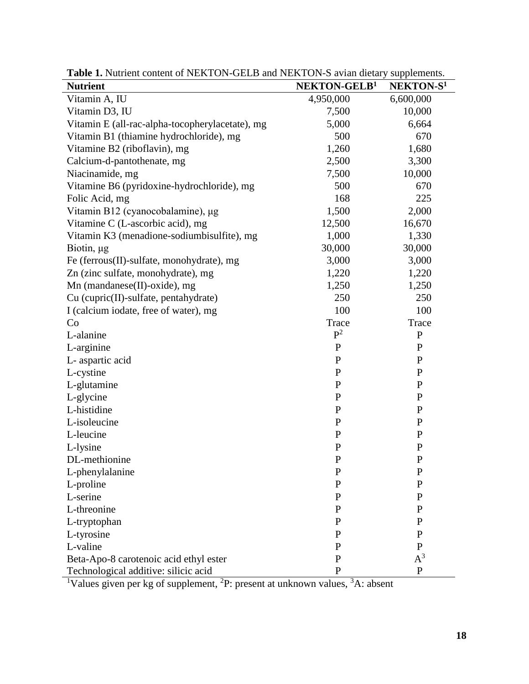| <b>Nutrient</b>                                 | NEKTON-GELB <sup>1</sup> | NEKTON-S <sup>1</sup> |
|-------------------------------------------------|--------------------------|-----------------------|
| Vitamin A, IU                                   | 4,950,000                | 6,600,000             |
| Vitamin D3, IU                                  | 7,500                    | 10,000                |
| Vitamin E (all-rac-alpha-tocopherylacetate), mg | 5,000                    | 6,664                 |
| Vitamin B1 (thiamine hydrochloride), mg         | 500                      | 670                   |
| Vitamine B2 (riboflavin), mg                    | 1,260                    | 1,680                 |
| Calcium-d-pantothenate, mg                      | 2,500                    | 3,300                 |
| Niacinamide, mg                                 | 7,500                    | 10,000                |
| Vitamine B6 (pyridoxine-hydrochloride), mg      | 500                      | 670                   |
| Folic Acid, mg                                  | 168                      | 225                   |
| Vitamin B12 (cyanocobalamine), µg               | 1,500                    | 2,000                 |
| Vitamine C (L-ascorbic acid), mg                | 12,500                   | 16,670                |
| Vitamin K3 (menadione-sodiumbisulfite), mg      | 1,000                    | 1,330                 |
| Biotin, µg                                      | 30,000                   | 30,000                |
| Fe (ferrous(II)-sulfate, monohydrate), mg       | 3,000                    | 3,000                 |
| Zn (zinc sulfate, monohydrate), mg              | 1,220                    | 1,220                 |
| Mn (mandanese(II)-oxide), mg                    | 1,250                    | 1,250                 |
| Cu (cupric(II)-sulfate, pentahydrate)           | 250                      | 250                   |
| I (calcium iodate, free of water), mg           | 100                      | 100                   |
| Co                                              | Trace                    | Trace                 |
| L-alanine                                       | $P^2$                    | ${\bf P}$             |
| L-arginine                                      | ${\bf P}$                | $\mathbf{P}$          |
| L- aspartic acid                                | ${\bf P}$                | ${\bf P}$             |
| L-cystine                                       | ${\bf P}$                | ${\bf P}$             |
| L-glutamine                                     | ${\bf P}$                | $\mathbf{P}$          |
| L-glycine                                       | ${\bf P}$                | $\mathbf{P}$          |
| L-histidine                                     | ${\bf P}$                | $\mathbf{P}$          |
| L-isoleucine                                    | ${\bf P}$                | $\mathbf{P}$          |
| L-leucine                                       | ${\bf P}$                | ${\bf P}$             |
| L-lysine                                        | ${\bf P}$                | $\mathbf{P}$          |
| DL-methionine                                   | $\mathbf P$              | $\mathbf{P}$          |
| L-phenylalanine                                 | $\mathbf P$              | $\mathbf P$           |
| L-proline                                       | P                        | $\mathbf{P}$          |
| L-serine                                        | P                        | P                     |
| L-threonine                                     | $\mathbf{P}$             | $\mathbf{P}$          |
| L-tryptophan                                    | P                        | $\mathbf{P}$          |
| L-tyrosine                                      | P                        | $\mathbf{P}$          |
| L-valine                                        | P                        | P                     |
| Beta-Apo-8 carotenoic acid ethyl ester          | $\mathbf P$              | $A^3$                 |
| Technological additive: silicic acid            | $\mathbf P$              | $\mathbf{P}$          |

Table 1. Nutrient content of NEKTON-GELB and NEKTON-S avian dietary supplements.

<sup>1</sup>Values given per kg of supplement, <sup>2</sup>P: present at unknown values, <sup>3</sup>A: absent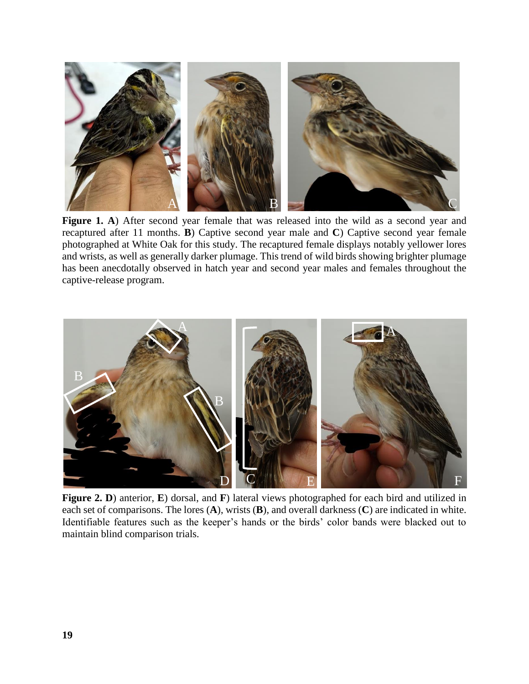

Figure 1. A) After second year female that was released into the wild as a second year and recaptured after 11 months. **B**) Captive second year male and **C**) Captive second year female photographed at White Oak for this study. The recaptured female displays notably yellower lores and wrists, as well as generally darker plumage. This trend of wild birds showing brighter plumage has been anecdotally observed in hatch year and second year males and females throughout the captive-release program.



**Figure 2. D**) anterior, **E**) dorsal, and **F**) lateral views photographed for each bird and utilized in each set of comparisons. The lores (**A**), wrists (**B**), and overall darkness (**C**) are indicated in white. Identifiable features such as the keeper's hands or the birds' color bands were blacked out to maintain blind comparison trials.